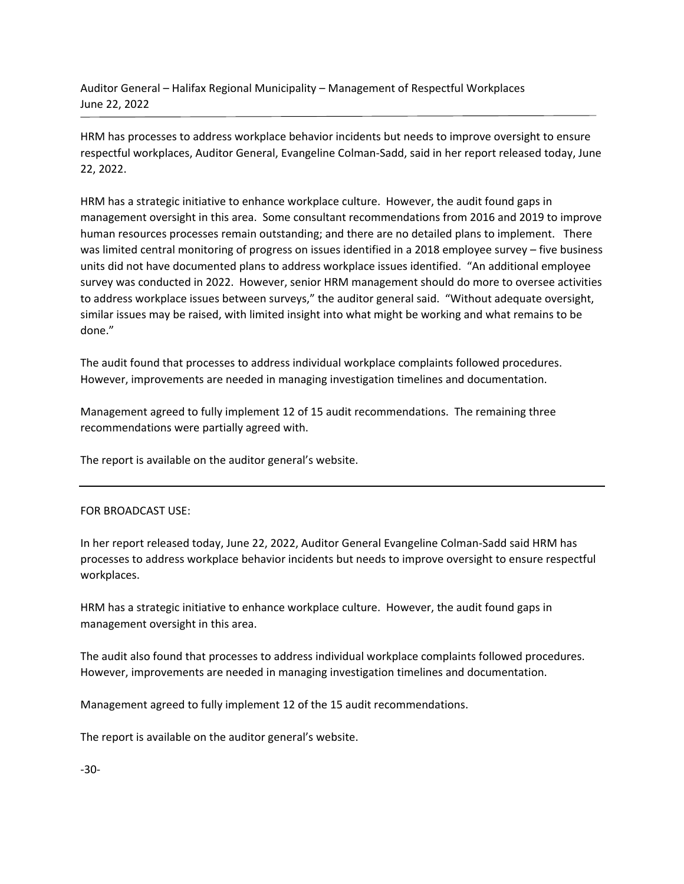Auditor General – Halifax Regional Municipality – Management of Respectful Workplaces June 22, 2022

HRM has processes to address workplace behavior incidents but needs to improve oversight to ensure respectful workplaces, Auditor General, Evangeline Colman-Sadd, said in her report released today, June 22, 2022.

HRM has a strategic initiative to enhance workplace culture. However, the audit found gaps in management oversight in this area. Some consultant recommendations from 2016 and 2019 to improve human resources processes remain outstanding; and there are no detailed plans to implement. There was limited central monitoring of progress on issues identified in a 2018 employee survey – five business units did not have documented plans to address workplace issues identified. "An additional employee survey was conducted in 2022. However, senior HRM management should do more to oversee activities to address workplace issues between surveys," the auditor general said. "Without adequate oversight, similar issues may be raised, with limited insight into what might be working and what remains to be done."

The audit found that processes to address individual workplace complaints followed procedures. However, improvements are needed in managing investigation timelines and documentation.

Management agreed to fully implement 12 of 15 audit recommendations. The remaining three recommendations were partially agreed with.

The report is available on the auditor general's website.

## FOR BROADCAST USE:

In her report released today, June 22, 2022, Auditor General Evangeline Colman-Sadd said HRM has processes to address workplace behavior incidents but needs to improve oversight to ensure respectful workplaces.

HRM has a strategic initiative to enhance workplace culture. However, the audit found gaps in management oversight in this area.

The audit also found that processes to address individual workplace complaints followed procedures. However, improvements are needed in managing investigation timelines and documentation.

Management agreed to fully implement 12 of the 15 audit recommendations.

The report is available on the auditor general's website.

-30-